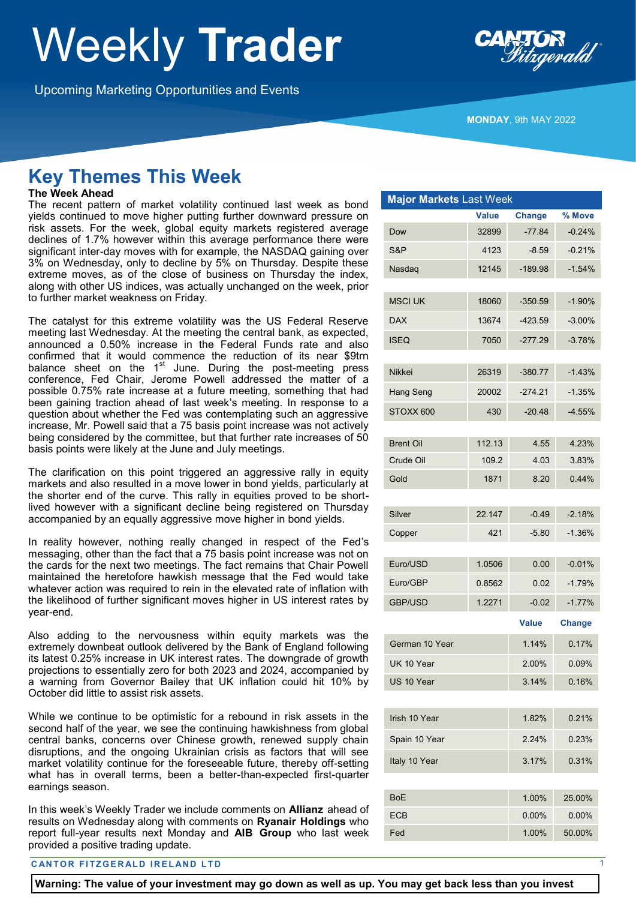# Weekly **Trader**

Upcoming Marketing Opportunities and Events



**MONDAY**, 9th MAY 2022

# **Key Themes This Week**

## **The Week Ahead**

The recent pattern of market volatility continued last week as bond yields continued to move higher putting further downward pressure on risk assets. For the week, global equity markets registered average declines of 1.7% however within this average performance there were significant inter-day moves with for example, the NASDAQ gaining over 3% on Wednesday, only to decline by 5% on Thursday. Despite these extreme moves, as of the close of business on Thursday the index, along with other US indices, was actually unchanged on the week, prior to further market weakness on Friday.

The catalyst for this extreme volatility was the US Federal Reserve meeting last Wednesday. At the meeting the central bank, as expected, announced a 0.50% increase in the Federal Funds rate and also confirmed that it would commence the reduction of its near \$9trn balance sheet on the 1<sup>st</sup> June. During the post-meeting press conference, Fed Chair, Jerome Powell addressed the matter of a possible 0.75% rate increase at a future meeting, something that had been gaining traction ahead of last week's meeting. In response to a question about whether the Fed was contemplating such an aggressive increase, Mr. Powell said that a 75 basis point increase was not actively being considered by the committee, but that further rate increases of 50 basis points were likely at the June and July meetings.

The clarification on this point triggered an aggressive rally in equity markets and also resulted in a move lower in bond yields, particularly at the shorter end of the curve. This rally in equities proved to be shortlived however with a significant decline being registered on Thursday accompanied by an equally aggressive move higher in bond yields.

In reality however, nothing really changed in respect of the Fed's messaging, other than the fact that a 75 basis point increase was not on the cards for the next two meetings. The fact remains that Chair Powell maintained the heretofore hawkish message that the Fed would take whatever action was required to rein in the elevated rate of inflation with the likelihood of further significant moves higher in US interest rates by year-end.

Also adding to the nervousness within equity markets was the extremely downbeat outlook delivered by the Bank of England following its latest 0.25% increase in UK interest rates. The downgrade of growth projections to essentially zero for both 2023 and 2024, accompanied by a warning from Governor Bailey that UK inflation could hit 10% by October did little to assist risk assets.

While we continue to be optimistic for a rebound in risk assets in the second half of the year, we see the continuing hawkishness from global central banks, concerns over Chinese growth, renewed supply chain disruptions, and the ongoing Ukrainian crisis as factors that will see market volatility continue for the foreseeable future, thereby off-setting what has in overall terms, been a better-than-expected first-quarter earnings season.

In this week's Weekly Trader we include comments on **Allianz** ahead of results on Wednesday along with comments on **Ryanair Holdings** who report full-year results next Monday and **AIB Group** who last week provided a positive trading update.

#### **CANTOR FITZGERALD IRELAND LTD**

| <b>Major Markets Last Week</b> |        |               |               |  |  |
|--------------------------------|--------|---------------|---------------|--|--|
|                                | Value  | <b>Change</b> | % Move        |  |  |
| Dow                            | 32899  | $-77.84$      | $-0.24%$      |  |  |
| S&P                            | 4123   | $-8.59$       | $-0.21%$      |  |  |
| Nasdag                         | 12145  | $-189.98$     | $-1.54%$      |  |  |
|                                |        |               |               |  |  |
| <b>MSCI UK</b>                 | 18060  | $-350.59$     | $-1.90%$      |  |  |
| <b>DAX</b>                     | 13674  | -423.59       | $-3.00%$      |  |  |
| <b>ISEQ</b>                    | 7050   | $-277.29$     | $-3.78%$      |  |  |
| <b>Nikkei</b>                  | 26319  | $-380.77$     | $-1.43%$      |  |  |
| Hang Seng                      | 20002  | -274.21       | $-1.35%$      |  |  |
| STOXX 600                      | 430    | $-20.48$      | $-4.55%$      |  |  |
|                                |        |               |               |  |  |
| <b>Brent Oil</b>               | 112.13 | 4.55          | 4.23%         |  |  |
| Crude Oil                      | 109.2  | 4.03          | 3.83%         |  |  |
| Gold                           | 1871   | 0.44%<br>8.20 |               |  |  |
|                                |        |               |               |  |  |
| Silver                         | 22.147 | $-0.49$       | $-2.18%$      |  |  |
| Copper                         | 421    | $-5.80$       | $-1.36%$      |  |  |
| Euro/USD                       | 1.0506 | 0.00          | $-0.01%$      |  |  |
|                                |        |               |               |  |  |
| Euro/GBP                       | 0.8562 | 0.02          | $-1.79%$      |  |  |
| <b>GBP/USD</b>                 | 1.2271 | $-0.02$       | $-1.77%$      |  |  |
|                                |        | <b>Value</b>  | <b>Change</b> |  |  |
| German 10 Year                 |        | 1.14%         | 0.17%         |  |  |
| UK 10 Year                     |        | 2.00%         | 0.09%         |  |  |
| US 10 Year                     |        | 3.14%         | 0.16%         |  |  |
|                                |        |               |               |  |  |
| Irish 10 Year                  |        | 1.82%         | 0.21%         |  |  |
| Spain 10 Year                  |        | 2.24%         | 0.23%         |  |  |
| Italy 10 Year                  |        | 3.17%         | 0.31%         |  |  |
|                                |        |               |               |  |  |
| <b>BoE</b>                     |        | 1.00%         | 25.00%        |  |  |

ECB 0.00% 0.00% 0.00% Fed 1.00% 50.00%

**Warning: The value of your investment may go down as well as up. You may get back less than you invest**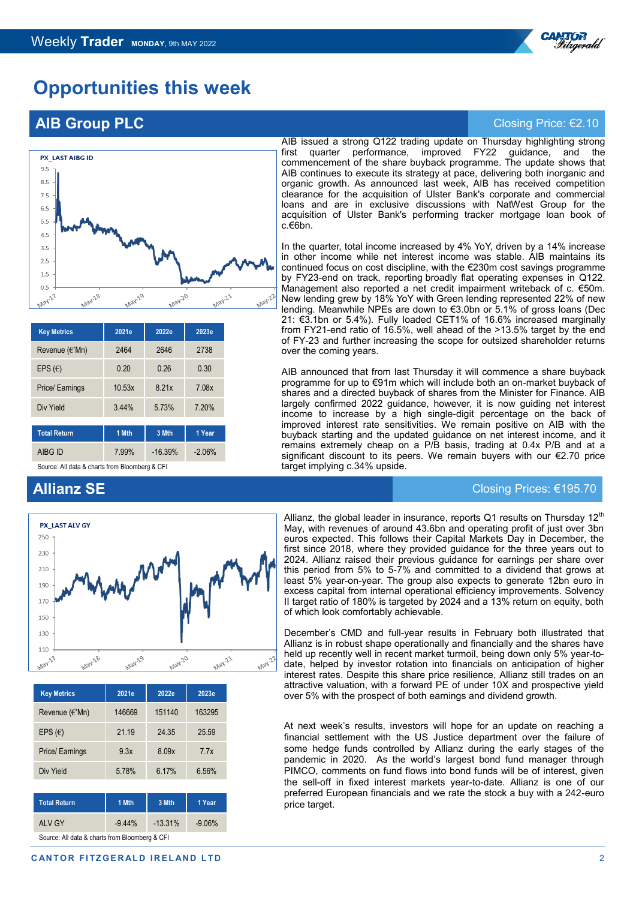

# **Opportunities this week**

# **AIB Group PLC** Closing Price: €2.10



| <b>Key Metrics</b>               | 2021e          | 2022e     | 2023e    |  |  |
|----------------------------------|----------------|-----------|----------|--|--|
| Revenue (€'Mn)                   | 2464           | 2646      | 2738     |  |  |
| EPS $(\epsilon)$                 | 0.20           | 0.26      | 0.30     |  |  |
| Price/ Earnings                  | 10.53x         | 8.21x     | 7.08x    |  |  |
| Div Yield                        | 5.73%<br>3.44% |           | 7.20%    |  |  |
|                                  |                |           |          |  |  |
| <b>Total Return</b>              | 1 Mth          | 3 Mth     | 1 Year   |  |  |
| AIBG ID                          | 7.99%          | $-16.39%$ | $-2.06%$ |  |  |
| 0 All J-t- 0 f Discussions 0.0El |                |           |          |  |  |

Source: All data & charts from Bloomberg & CF

#### AIB issued a strong Q122 trading update on Thursday highlighting strong first quarter performance, improved FY22 guidance, and the commencement of the share buyback programme. The update shows that AIB continues to execute its strategy at pace, delivering both inorganic and organic growth. As announced last week, AIB has received competition clearance for the acquisition of Ulster Bank's corporate and commercial loans and are in exclusive discussions with NatWest Group for the acquisition of Ulster Bank's performing tracker mortgage loan book of c.€6bn.

In the quarter, total income increased by 4% YoY, driven by a 14% increase in other income while net interest income was stable. AIB maintains its continued focus on cost discipline, with the €230m cost savings programme by FY23-end on track, reporting broadly flat operating expenses in Q122. Management also reported a net credit impairment writeback of c. €50m. New lending grew by 18% YoY with Green lending represented 22% of new lending. Meanwhile NPEs are down to €3.0bn or 5.1% of gross loans (Dec 21: €3.1bn or 5.4%). Fully loaded CET1% of 16.6% increased marginally from FY21-end ratio of 16.5%, well ahead of the >13.5% target by the end of FY-23 and further increasing the scope for outsized shareholder returns over the coming years.

AIB announced that from last Thursday it will commence a share buyback programme for up to €91m which will include both an on-market buyback of shares and a directed buyback of shares from the Minister for Finance. AIB largely confirmed 2022 guidance, however, it is now guiding net interest income to increase by a high single-digit percentage on the back of improved interest rate sensitivities. We remain positive on AIB with the buyback starting and the updated guidance on net interest income, and it remains extremely cheap on a P/B basis, trading at 0.4x P/B and at a significant discount to its peers. We remain buyers with our €2.70 price target implying c.34% upside.

## **Allianz SE** Closing Prices: €195.70



| <b>Key Metrics</b>       | 2021e  | 2022e  | 2023e  |
|--------------------------|--------|--------|--------|
| Revenue $(\epsilon$ 'Mn) | 146669 | 151140 | 163295 |
| EPS $(E)$                | 21 19  | 24 35  | 25.59  |
| Price/ Earnings          | 9.3x   | 8.09x  | 7.7x   |
| Div Yield                | 5.78%  | 6.17%  | 6.56%  |

| <b>Total Return</b> | 1 Mth    | 3 Mth     | 1 Year    |  |  |
|---------------------|----------|-----------|-----------|--|--|
| ALV GY              | $-9.44%$ | $-13.31%$ | $-9.06\%$ |  |  |
| .<br>$\sim$         |          |           |           |  |  |

Source: All data & charts from Bloomberg & CFI

Allianz, the global leader in insurance, reports Q1 results on Thursday 12 $^{\rm th}$ May, with revenues of around 43.6bn and operating profit of just over 3bn euros expected. This follows their Capital Markets Day in December, the first since 2018, where they provided guidance for the three years out to 2024. Allianz raised their previous guidance for earnings per share over this period from 5% to 5-7% and committed to a dividend that grows at least 5% year-on-year. The group also expects to generate 12bn euro in excess capital from internal operational efficiency improvements. Solvency II target ratio of 180% is targeted by 2024 and a 13% return on equity, both of which look comfortably achievable.

December's CMD and full-year results in February both illustrated that Allianz is in robust shape operationally and financially and the shares have held up recently well in recent market turmoil, being down only 5% year-todate, helped by investor rotation into financials on anticipation of higher interest rates. Despite this share price resilience, Allianz still trades on an attractive valuation, with a forward PE of under 10X and prospective yield over 5% with the prospect of both earnings and dividend growth.

At next week's results, investors will hope for an update on reaching a financial settlement with the US Justice department over the failure of some hedge funds controlled by Allianz during the early stages of the pandemic in 2020. As the world's largest bond fund manager through PIMCO, comments on fund flows into bond funds will be of interest, given the sell-off in fixed interest markets year-to-date. Allianz is one of our preferred European financials and we rate the stock a buy with a 242-euro price target.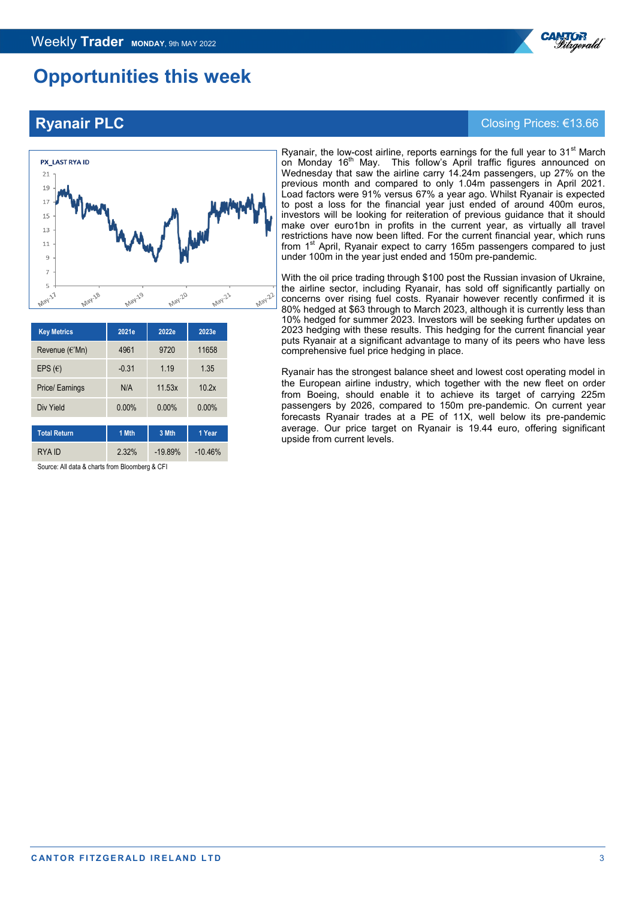# **Opportunities this week**



| <b>Key Metrics</b>  | 2021e    | 2022e     | 2023e     |  |
|---------------------|----------|-----------|-----------|--|
| Revenue (€'Mn)      | 4961     | 9720      | 11658     |  |
| EPS $(\epsilon)$    | $-0.31$  | 1 1 9     | 1.35      |  |
| Price/ Earnings     | N/A      | 11.53x    | 10.2x     |  |
| Div Yield           | $0.00\%$ | $0.00\%$  | $0.00\%$  |  |
| <b>Total Return</b> | 1 Mth    | 3 Mth     | 1 Year    |  |
| RYA ID              | 2.32%    | $-19.89%$ | $-10.46%$ |  |

Source: All data & charts from Bloomberg & CFI

#### Ryanair, the low-cost airline, reports earnings for the full year to  $31<sup>st</sup>$  March on Monday 16<sup>th</sup> May. This follow's April traffic figures announced on Wednesday that saw the airline carry 14.24m passengers, up 27% on the previous month and compared to only 1.04m passengers in April 2021. Load factors were 91% versus 67% a year ago. Whilst Ryanair is expected to post a loss for the financial year just ended of around 400m euros, investors will be looking for reiteration of previous guidance that it should make over euro1bn in profits in the current year, as virtually all travel restrictions have now been lifted. For the current financial year, which runs from 1<sup>st</sup> April, Ryanair expect to carry 165m passengers compared to just under 100m in the year just ended and 150m pre-pandemic.

With the oil price trading through \$100 post the Russian invasion of Ukraine, the airline sector, including Ryanair, has sold off significantly partially on concerns over rising fuel costs. Ryanair however recently confirmed it is 80% hedged at \$63 through to March 2023, although it is currently less than 10% hedged for summer 2023. Investors will be seeking further updates on 2023 hedging with these results. This hedging for the current financial year puts Ryanair at a significant advantage to many of its peers who have less comprehensive fuel price hedging in place.

Ryanair has the strongest balance sheet and lowest cost operating model in the European airline industry, which together with the new fleet on order from Boeing, should enable it to achieve its target of carrying 225m passengers by 2026, compared to 150m pre-pandemic. On current year forecasts Ryanair trades at a PE of 11X, well below its pre-pandemic average. Our price target on Ryanair is 19.44 euro, offering significant upside from current levels.

# **Ryanair PLC** Closing Prices: €13.66

## **CANTOR FITZGERALD IRELAND LTD** 3

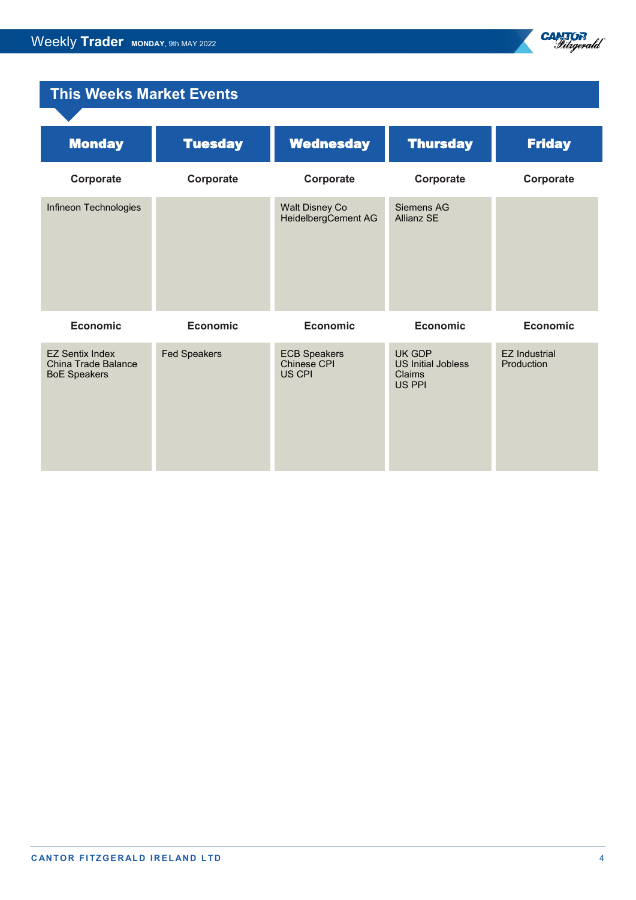

# **This Weeks Market Events**

| <b>Monday</b>                                                               | <b>Tuesday</b>      | <b>Wednesday</b>                             | <b>Thursday</b>                                         | <b>Friday</b>                      |
|-----------------------------------------------------------------------------|---------------------|----------------------------------------------|---------------------------------------------------------|------------------------------------|
| Corporate                                                                   | Corporate           | Corporate                                    | Corporate                                               | Corporate                          |
| Infineon Technologies                                                       |                     | <b>Walt Disney Co</b><br>HeidelbergCement AG | Siemens AG<br><b>Allianz SE</b>                         |                                    |
| <b>Economic</b>                                                             | <b>Economic</b>     | <b>Economic</b>                              | <b>Economic</b>                                         | <b>Economic</b>                    |
| <b>EZ Sentix Index</b><br><b>China Trade Balance</b><br><b>BoE Speakers</b> | <b>Fed Speakers</b> | <b>ECB Speakers</b><br>Chinese CPI<br>US CPI | UK GDP<br><b>US Initial Jobless</b><br>Claims<br>US PPI | <b>EZ Industrial</b><br>Production |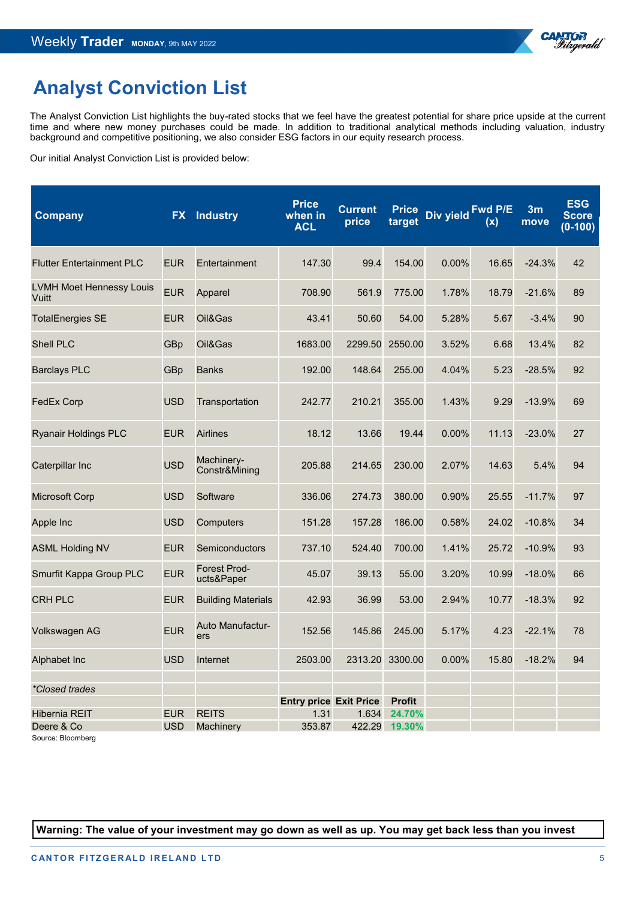

# **Analyst Conviction List**

The Analyst Conviction List highlights the buy-rated stocks that we feel have the greatest potential for share price upside at the current time and where new money purchases could be made. In addition to traditional analytical methods including valuation, industry background and competitive positioning, we also consider ESG factors in our equity research process.

Our initial Analyst Conviction List is provided below:

| Company                                  | <b>FX</b>  | <b>Industry</b>                   | <b>Price</b><br>when in<br><b>ACL</b> | <b>Current</b><br>price | <b>Price</b><br>target | Div yield | Fwd P/E<br>(x) | 3m<br>move | <b>ESG</b><br><b>Score</b><br>$(0-100)$ |
|------------------------------------------|------------|-----------------------------------|---------------------------------------|-------------------------|------------------------|-----------|----------------|------------|-----------------------------------------|
| <b>Flutter Entertainment PLC</b>         | <b>EUR</b> | Entertainment                     | 147.30                                | 99.4                    | 154.00                 | 0.00%     | 16.65          | $-24.3%$   | 42                                      |
| <b>LVMH Moet Hennessy Louis</b><br>Vuitt | <b>EUR</b> | Apparel                           | 708.90                                | 561.9                   | 775.00                 | 1.78%     | 18.79          | $-21.6%$   | 89                                      |
| <b>TotalEnergies SE</b>                  | <b>EUR</b> | Oil&Gas                           | 43.41                                 | 50.60                   | 54.00                  | 5.28%     | 5.67           | $-3.4%$    | 90                                      |
| <b>Shell PLC</b>                         | GBp        | Oil&Gas                           | 1683.00                               | 2299.50                 | 2550.00                | 3.52%     | 6.68           | 13.4%      | 82                                      |
| <b>Barclays PLC</b>                      | GBp        | <b>Banks</b>                      | 192.00                                | 148.64                  | 255.00                 | 4.04%     | 5.23           | $-28.5%$   | 92                                      |
| <b>FedEx Corp</b>                        | <b>USD</b> | Transportation                    | 242.77                                | 210.21                  | 355.00                 | 1.43%     | 9.29           | $-13.9%$   | 69                                      |
| <b>Ryanair Holdings PLC</b>              | <b>EUR</b> | <b>Airlines</b>                   | 18.12                                 | 13.66                   | 19.44                  | 0.00%     | 11.13          | $-23.0%$   | 27                                      |
| Caterpillar Inc                          | <b>USD</b> | Machinery-<br>Constr&Mining       | 205.88                                | 214.65                  | 230.00                 | 2.07%     | 14.63          | 5.4%       | 94                                      |
| <b>Microsoft Corp</b>                    | <b>USD</b> | Software                          | 336.06                                | 274.73                  | 380.00                 | 0.90%     | 25.55          | $-11.7%$   | 97                                      |
| Apple Inc                                | <b>USD</b> | Computers                         | 151.28                                | 157.28                  | 186.00                 | 0.58%     | 24.02          | $-10.8%$   | 34                                      |
| <b>ASML Holding NV</b>                   | <b>EUR</b> | Semiconductors                    | 737.10                                | 524.40                  | 700.00                 | 1.41%     | 25.72          | $-10.9%$   | 93                                      |
| Smurfit Kappa Group PLC                  | <b>EUR</b> | <b>Forest Prod-</b><br>ucts&Paper | 45.07                                 | 39.13                   | 55.00                  | 3.20%     | 10.99          | $-18.0%$   | 66                                      |
| <b>CRH PLC</b>                           | <b>EUR</b> | <b>Building Materials</b>         | 42.93                                 | 36.99                   | 53.00                  | 2.94%     | 10.77          | $-18.3%$   | 92                                      |
| Volkswagen AG                            | <b>EUR</b> | Auto Manufactur-<br>ers           | 152.56                                | 145.86                  | 245.00                 | 5.17%     | 4.23           | $-22.1%$   | 78                                      |
| Alphabet Inc                             | <b>USD</b> | Internet                          | 2503.00                               | 2313.20                 | 3300.00                | $0.00\%$  | 15.80          | $-18.2%$   | 94                                      |
| *Closed trades                           |            |                                   |                                       |                         |                        |           |                |            |                                         |
|                                          |            |                                   | <b>Entry price Exit Price</b>         |                         | <b>Profit</b>          |           |                |            |                                         |
| <b>Hibernia REIT</b>                     | <b>EUR</b> | <b>REITS</b>                      | 1.31                                  | 1.634                   | 24.70%                 |           |                |            |                                         |
| Deere & Co<br>Source: Bloomberg          | <b>USD</b> | Machinery                         | 353.87                                | 422.29                  | $19.30\%$              |           |                |            |                                         |

**Warning: The value of your investment may go down as well as up. You may get back less than you invest**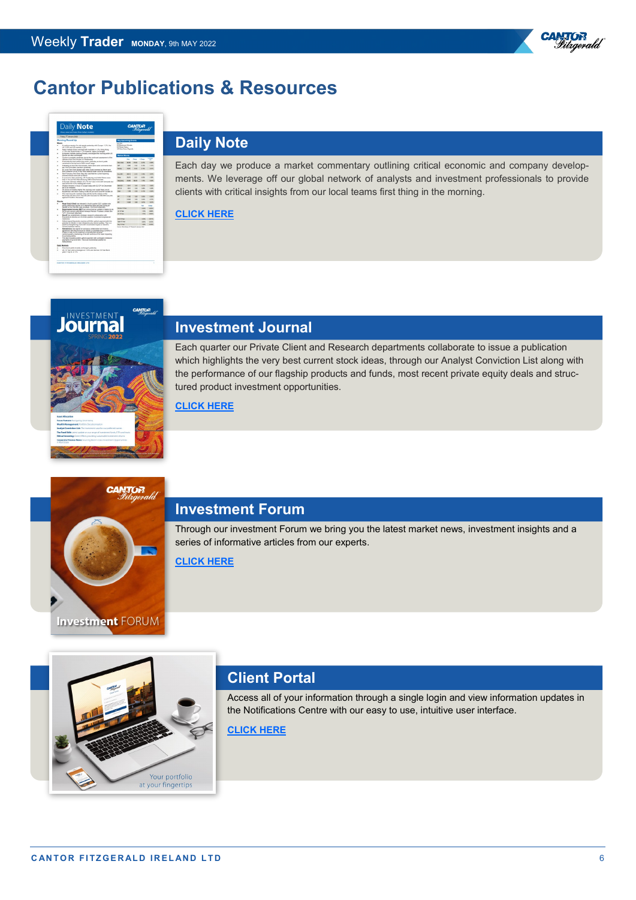



## **[D](https://cantorfitzgerald.ie/research/daily-note/)aily Note**

Each day we produce a market commentary outlining critical economic and company developments. We leverage off our global network of analysts and investment professionals to provide clients with critical insights from our local teams first thing in the morning.

## **[CLICK HERE](https://cantorfitzgerald.ie/research/daily-note/)**

**CANTOR** 



# **Investment Journal**

Each quarter our Private Client and Research departments collaborate to issue a publication which highlights the very best current stock ideas, through our Analyst Conviction List along with the performance of our flagship products and funds, most recent private equity deals and structured product investment opportunities.

## **[CLICK HERE](https://cantorfitzgerald.ie/wp-content/uploads/2022/04/Journal-Spring-4-22-LR.pdf)**



## **Investment Forum**

Through our investment Forum we bring you the latest market news, investment insights and a series of informative articles from our experts.

**[CLICK HERE](https://cantorfitzgerald.ie/category/investment-forum/)**

# Your portfolio at your fingertips

# **Client Portal**

Access all of your information through a single login and view information updates in the Notifications Centre with our easy to use, intuitive user interface.

## **[CLICK HERE](https://cantorfitzgerald.ie/cantorportal/)**

®<sup>R</sup>

Vitrgerald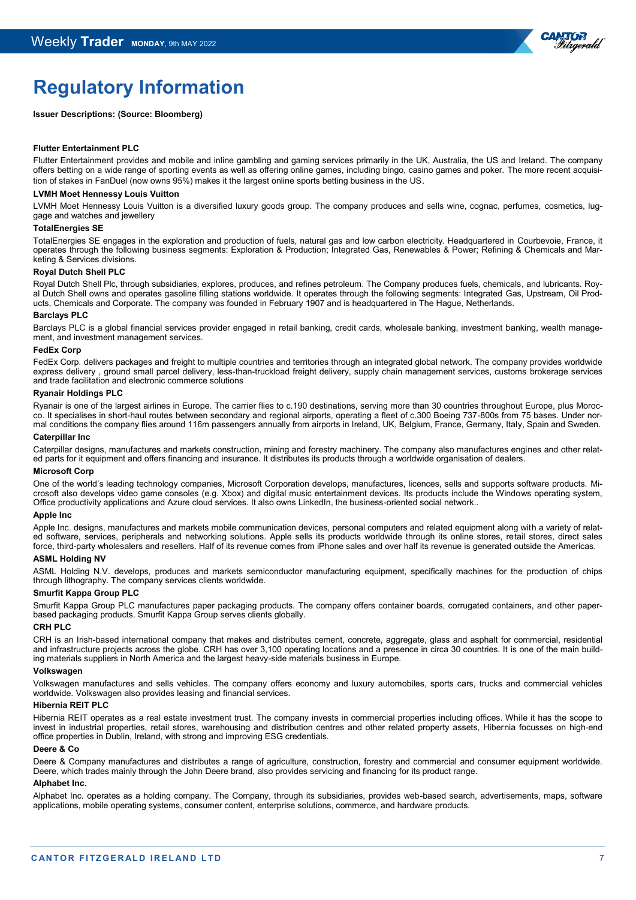

# **Regulatory Information**

#### **Issuer Descriptions: (Source: Bloomberg)**

#### **Flutter Entertainment PLC**

Flutter Entertainment provides and mobile and inline gambling and gaming services primarily in the UK, Australia, the US and Ireland. The company offers betting on a wide range of sporting events as well as offering online games, including bingo, casino games and poker. The more recent acquisition of stakes in FanDuel (now owns 95%) makes it the largest online sports betting business in the US.

#### **LVMH Moet Hennessy Louis Vuitton**

LVMH Moet Hennessy Louis Vuitton is a diversified luxury goods group. The company produces and sells wine, cognac, perfumes, cosmetics, luggage and watches and jewellery

### **TotalEnergies SE**

TotalEnergies SE engages in the exploration and production of fuels, natural gas and low carbon electricity. Headquartered in Courbevoie, France, it operates through the following business segments: Exploration & Production; Integrated Gas, Renewables & Power; Refining & Chemicals and Marketing & Services divisions.

#### **Royal Dutch Shell PLC**

Royal Dutch Shell Plc, through subsidiaries, explores, produces, and refines petroleum. The Company produces fuels, chemicals, and lubricants. Royal Dutch Shell owns and operates gasoline filling stations worldwide. It operates through the following segments: Integrated Gas, Upstream, Oil Products, Chemicals and Corporate. The company was founded in February 1907 and is headquartered in The Hague, Netherlands.

#### **Barclays PLC**

Barclays PLC is a global financial services provider engaged in retail banking, credit cards, wholesale banking, investment banking, wealth management, and investment management services.

#### **FedEx Corp**

FedEx Corp. delivers packages and freight to multiple countries and territories through an integrated global network. The company provides worldwide express delivery , ground small parcel delivery, less-than-truckload freight delivery, supply chain management services, customs brokerage services and trade facilitation and electronic commerce solutions

#### **Ryanair Holdings PLC**

Ryanair is one of the largest airlines in Europe. The carrier flies to c.190 destinations, serving more than 30 countries throughout Europe, plus Morocco. It specialises in short-haul routes between secondary and regional airports, operating a fleet of c.300 Boeing 737-800s from 75 bases. Under normal conditions the company flies around 116m passengers annually from airports in Ireland, UK, Belgium, France, Germany, Italy, Spain and Sweden.

#### **Caterpillar Inc**

Caterpillar designs, manufactures and markets construction, mining and forestry machinery. The company also manufactures engines and other related parts for it equipment and offers financing and insurance. It distributes its products through a worldwide organisation of dealers.

#### **Microsoft Corp**

One of the world's leading technology companies, Microsoft Corporation develops, manufactures, licences, sells and supports software products. Microsoft also develops video game consoles (e.g. Xbox) and digital music entertainment devices. Its products include the Windows operating system, Office productivity applications and Azure cloud services. It also owns LinkedIn, the business-oriented social network..

#### **Apple Inc**

Apple Inc. designs, manufactures and markets mobile communication devices, personal computers and related equipment along with a variety of related software, services, peripherals and networking solutions. Apple sells its products worldwide through its online stores, retail stores, direct sales force, third-party wholesalers and resellers. Half of its revenue comes from iPhone sales and over half its revenue is generated outside the Americas.

#### **ASML Holding NV**

ASML Holding N.V. develops, produces and markets semiconductor manufacturing equipment, specifically machines for the production of chips through lithography. The company services clients worldwide.

## **Smurfit Kappa Group PLC**

Smurfit Kappa Group PLC manufactures paper packaging products. The company offers container boards, corrugated containers, and other paperbased packaging products. Smurfit Kappa Group serves clients globally.

#### **CRH PLC**

CRH is an Irish-based international company that makes and distributes cement, concrete, aggregate, glass and asphalt for commercial, residential and infrastructure projects across the globe. CRH has over 3,100 operating locations and a presence in circa 30 countries. It is one of the main building materials suppliers in North America and the largest heavy-side materials business in Europe.

#### **Volkswagen**

Volkswagen manufactures and sells vehicles. The company offers economy and luxury automobiles, sports cars, trucks and commercial vehicles worldwide. Volkswagen also provides leasing and financial services.

#### **Hibernia REIT PLC**

Hibernia REIT operates as a real estate investment trust. The company invests in commercial properties including offices. While it has the scope to invest in industrial properties, retail stores, warehousing and distribution centres and other related property assets, Hibernia focusses on high-end office properties in Dublin, Ireland, with strong and improving ESG credentials.

#### **Deere & Co**

Deere & Company manufactures and distributes a range of agriculture, construction, forestry and commercial and consumer equipment worldwide. Deere, which trades mainly through the John Deere brand, also provides servicing and financing for its product range.

#### **Alphabet Inc.**

Alphabet Inc. operates as a holding company. The Company, through its subsidiaries, provides web-based search, advertisements, maps, software applications, mobile operating systems, consumer content, enterprise solutions, commerce, and hardware products.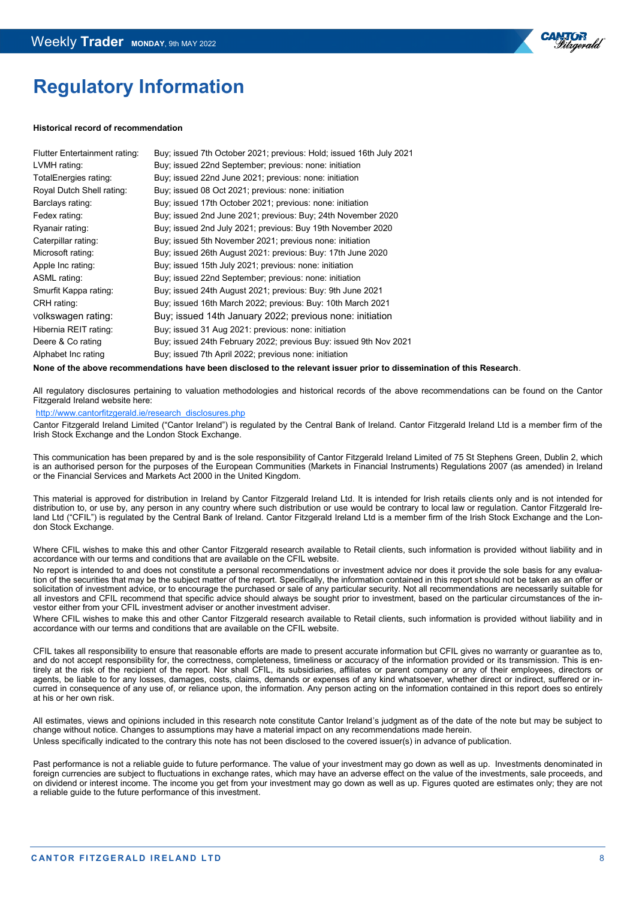

# **Regulatory Information**

#### **Historical record of recommendation**

| Flutter Entertainment rating: | Buy; issued 7th October 2021; previous: Hold; issued 16th July 2021                                             |
|-------------------------------|-----------------------------------------------------------------------------------------------------------------|
| LVMH rating:                  | Buy; issued 22nd September; previous: none: initiation                                                          |
| TotalEnergies rating:         | Buy; issued 22nd June 2021; previous: none: initiation                                                          |
| Royal Dutch Shell rating:     | Buy; issued 08 Oct 2021; previous: none: initiation                                                             |
| Barclays rating:              | Buy; issued 17th October 2021; previous: none: initiation                                                       |
| Fedex rating:                 | Buy; issued 2nd June 2021; previous: Buy; 24th November 2020                                                    |
| Ryanair rating:               | Buy; issued 2nd July 2021; previous: Buy 19th November 2020                                                     |
| Caterpillar rating:           | Buy; issued 5th November 2021; previous none: initiation                                                        |
| Microsoft rating:             | Buy; issued 26th August 2021: previous: Buy: 17th June 2020                                                     |
| Apple Inc rating:             | Buy; issued 15th July 2021; previous: none: initiation                                                          |
| ASML rating:                  | Buy; issued 22nd September; previous: none: initiation                                                          |
| Smurfit Kappa rating:         | Buy; issued 24th August 2021; previous: Buy: 9th June 2021                                                      |
| CRH rating:                   | Buy; issued 16th March 2022; previous: Buy: 10th March 2021                                                     |
| volkswagen rating:            | Buy; issued 14th January 2022; previous none: initiation                                                        |
| Hibernia REIT rating:         | Buy; issued 31 Aug 2021: previous: none: initiation                                                             |
| Deere & Co rating             | Buy; issued 24th February 2022; previous Buy: issued 9th Nov 2021                                               |
| Alphabet Inc rating           | Buy; issued 7th April 2022; previous none: initiation                                                           |
|                               | the contract of the contract of the contract of the contract of the contract of the contract of the contract of |

**None of the above recommendations have been disclosed to the relevant issuer prior to dissemination of this Research**.

All regulatory disclosures pertaining to valuation methodologies and historical records of the above recommendations can be found on the Cantor Fitzgerald Ireland website here:

[http://www.cantorfitzgerald.ie/research\\_disclosures.php](http://www.cantorfitzgerald.ie/research_disclosures.php)

Cantor Fitzgerald Ireland Limited ("Cantor Ireland") is regulated by the Central Bank of Ireland. Cantor Fitzgerald Ireland Ltd is a member firm of the Irish Stock Exchange and the London Stock Exchange.

This communication has been prepared by and is the sole responsibility of Cantor Fitzgerald Ireland Limited of 75 St Stephens Green, Dublin 2, which is an authorised person for the purposes of the European Communities (Markets in Financial Instruments) Regulations 2007 (as amended) in Ireland or the Financial Services and Markets Act 2000 in the United Kingdom.

This material is approved for distribution in Ireland by Cantor Fitzgerald Ireland Ltd. It is intended for Irish retails clients only and is not intended for distribution to, or use by, any person in any country where such distribution or use would be contrary to local law or regulation. Cantor Fitzgerald Ireland Ltd ("CFIL") is regulated by the Central Bank of Ireland. Cantor Fitzgerald Ireland Ltd is a member firm of the Irish Stock Exchange and the London Stock Exchange.

Where CFIL wishes to make this and other Cantor Fitzgerald research available to Retail clients, such information is provided without liability and in accordance with our terms and conditions that are available on the CFIL website.

No report is intended to and does not constitute a personal recommendations or investment advice nor does it provide the sole basis for any evaluation of the securities that may be the subject matter of the report. Specifically, the information contained in this report should not be taken as an offer or solicitation of investment advice, or to encourage the purchased or sale of any particular security. Not all recommendations are necessarily suitable for all investors and CFIL recommend that specific advice should always be sought prior to investment, based on the particular circumstances of the investor either from your CFIL investment adviser or another investment adviser.

Where CFIL wishes to make this and other Cantor Fitzgerald research available to Retail clients, such information is provided without liability and in accordance with our terms and conditions that are available on the CFIL website.

CFIL takes all responsibility to ensure that reasonable efforts are made to present accurate information but CFIL gives no warranty or guarantee as to, and do not accept responsibility for, the correctness, completeness, timeliness or accuracy of the information provided or its transmission. This is entirely at the risk of the recipient of the report. Nor shall CFIL, its subsidiaries, affiliates or parent company or any of their employees, directors or agents, be liable to for any losses, damages, costs, claims, demands or expenses of any kind whatsoever, whether direct or indirect, suffered or incurred in consequence of any use of, or reliance upon, the information. Any person acting on the information contained in this report does so entirely at his or her own risk.

All estimates, views and opinions included in this research note constitute Cantor Ireland's judgment as of the date of the note but may be subject to change without notice. Changes to assumptions may have a material impact on any recommendations made herein. Unless specifically indicated to the contrary this note has not been disclosed to the covered issuer(s) in advance of publication.

Past performance is not a reliable guide to future performance. The value of your investment may go down as well as up. Investments denominated in foreign currencies are subject to fluctuations in exchange rates, which may have an adverse effect on the value of the investments, sale proceeds, and on dividend or interest income. The income you get from your investment may go down as well as up. Figures quoted are estimates only; they are not a reliable guide to the future performance of this investment.